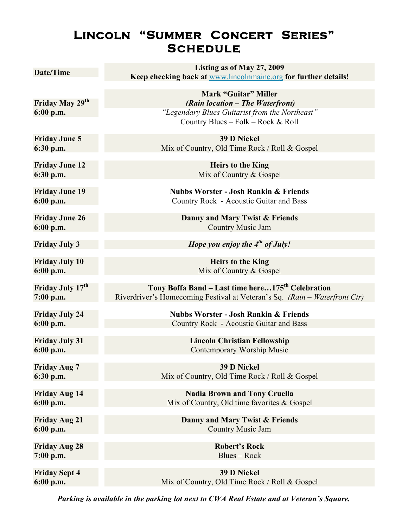## **Lincoln "Summer Concert Series" Schedule**

| Date/Time                          | Listing as of May 27, 2009                                                                  |
|------------------------------------|---------------------------------------------------------------------------------------------|
|                                    | Keep checking back at www.lincolnmaine.org for further details!                             |
|                                    | <b>Mark "Guitar" Miller</b>                                                                 |
| Friday May 29 <sup>th</sup>        | (Rain location - The Waterfront)                                                            |
| $6:00$ p.m.                        | "Legendary Blues Guitarist from the Northeast"                                              |
|                                    | Country Blues - Folk - Rock & Roll                                                          |
| <b>Friday June 5</b>               | <b>39 D Nickel</b>                                                                          |
| 6:30 p.m.                          | Mix of Country, Old Time Rock / Roll & Gospel                                               |
| <b>Friday June 12</b>              | <b>Heirs to the King</b>                                                                    |
| 6:30 p.m.                          | Mix of Country & Gospel                                                                     |
|                                    |                                                                                             |
| <b>Friday June 19</b><br>6:00 p.m. | <b>Nubbs Worster - Josh Rankin &amp; Friends</b><br>Country Rock - Acoustic Guitar and Bass |
|                                    |                                                                                             |
| <b>Friday June 26</b>              | Danny and Mary Twist & Friends                                                              |
| $6:00$ p.m.                        | <b>Country Music Jam</b>                                                                    |
| <b>Friday July 3</b>               | Hope you enjoy the $4th$ of July!                                                           |
|                                    |                                                                                             |
| <b>Friday July 10</b>              | <b>Heirs to the King</b>                                                                    |
| 6:00 p.m.                          | Mix of Country & Gospel                                                                     |
| Friday July 17 <sup>th</sup>       | Tony Boffa Band - Last time here175 <sup>th</sup> Celebration                               |
| $7:00$ p.m.                        | Riverdriver's Homecoming Festival at Veteran's Sq. (Rain – Waterfront Ctr)                  |
| <b>Friday July 24</b>              | <b>Nubbs Worster - Josh Rankin &amp; Friends</b>                                            |
| $6:00$ p.m.                        | Country Rock - Acoustic Guitar and Bass                                                     |
|                                    |                                                                                             |
| <b>Friday July 31</b>              | <b>Lincoln Christian Fellowship</b>                                                         |
| $6:00$ p.m.                        | Contemporary Worship Music                                                                  |
| <b>Friday Aug 7</b>                | <b>39 D Nickel</b>                                                                          |
| 6:30 p.m.                          | Mix of Country, Old Time Rock / Roll & Gospel                                               |
| <b>Friday Aug 14</b>               | <b>Nadia Brown and Tony Cruella</b>                                                         |
| $6:00$ p.m.                        | Mix of Country, Old time favorites & Gospel                                                 |
|                                    |                                                                                             |
| <b>Friday Aug 21</b>               | Danny and Mary Twist & Friends                                                              |
| $6:00$ p.m.                        | <b>Country Music Jam</b>                                                                    |
| <b>Friday Aug 28</b>               | <b>Robert's Rock</b>                                                                        |
| $7:00$ p.m.                        | Blues – Rock                                                                                |
|                                    | <b>39 D Nickel</b>                                                                          |
| <b>Friday Sept 4</b><br>6:00 p.m.  | Mix of Country, Old Time Rock / Roll & Gospel                                               |
|                                    |                                                                                             |

*Parking is available in the parking lot next to CWA Real Estate and at Veteran's Square.*